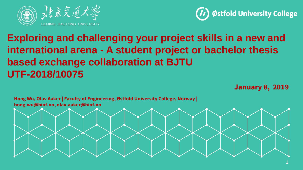



# **Exploring and challenging your project skills in a new and international arena - A student project or bachelor thesis based exchange collaboration at BJTU UTF-2018/10075**

**January 8, 2019**

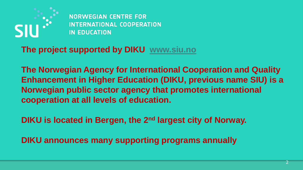

**NORWEGIAN CENTRE FOR INTERNATIONAL COOPERATION IN EDUCATION** 

**The project supported by DIKU [www.siu.no](http://www.siu.no/)**

**The Norwegian Agency for International Cooperation and Quality Enhancement in Higher Education (DIKU, previous name SIU) is a Norwegian public sector agency that promotes international cooperation at all levels of education.** 

**DIKU is located in Bergen, the 2<sup>nd</sup> largest city of Norway.** 

**DIKU announces many supporting programs annually**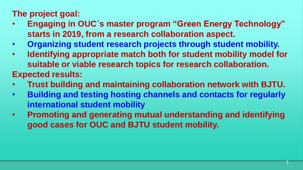## **The project goal:**

- **Engaging in OUC´s master program "Green Energy Technology" starts in 2019, from a research collaboration aspect.**
- **Organizing student research projects through student mobility.**
- **Identifying appropriate match both for student mobility model for suitable or viable research topics for research collaboration.**

**Expected results:** 

- **Trust building and maintaining collaboration network with BJTU.**
- **Building and testing hosting channels and contacts for regularly international student mobility**
- **Promoting and generating mutual understanding and identifying good cases for OUC and BJTU student mobility.**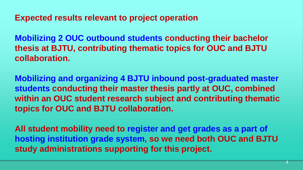**Expected results relevant to project operation**

**Mobilizing 2 OUC outbound students conducting their bachelor thesis at BJTU, contributing thematic topics for OUC and BJTU collaboration.** 

**Mobilizing and organizing 4 BJTU inbound post-graduated master students conducting their master thesis partly at OUC, combined within an OUC student research subject and contributing thematic topics for OUC and BJTU collaboration.**

**All student mobility need to register and get grades as a part of hosting institution grade system, so we need both OUC and BJTU study administrations supporting for this project.**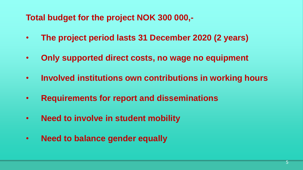#### **Total budget for the project NOK 300 000,-**

- **The project period lasts 31 December 2020 (2 years)**
- **Only supported direct costs, no wage no equipment**
- **Involved institutions own contributions in working hours**
- **Requirements for report and disseminations**
- **Need to involve in student mobility**
- **Need to balance gender equally**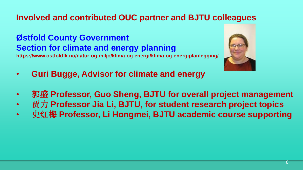### **Involved and contributed OUC partner and BJTU colleagues**

#### **Østfold County Government Section for climate and energy planning**

**https://www.ostfoldfk.no/natur-og-miljo/klima-og-energi/klima-og-energiplanlegging/**



- **Guri Bugge, Advisor for climate and energy**
- 郭盛 **Professor, Guo Sheng, BJTU for overall project management**
- 贾力 **Professor Jia Li, BJTU, for student research project topics**
- 史红梅 **Professor, Li Hongmei, BJTU academic course supporting**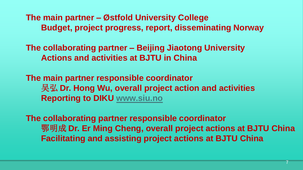**The main partner – Østfold University College Budget, project progress, report, disseminating Norway**

**The collaborating partner – Beijing Jiaotong University Actions and activities at BJTU in China**

**The main partner responsible coordinator** 吴弘 **Dr. Hong Wu, overall project action and activities Reporting to DIKU [www.siu.no](http://www.siu.no/)**

**The collaborating partner responsible coordinator** 鄂明成 **Dr. Er Ming Cheng, overall project actions at BJTU China Facilitating and assisting project actions at BJTU China**

7